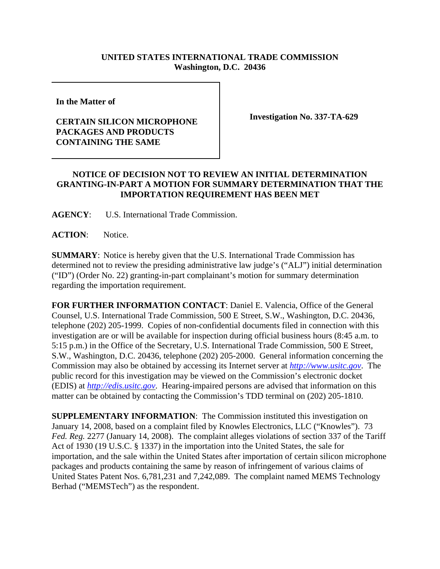## **UNITED STATES INTERNATIONAL TRADE COMMISSION Washington, D.C. 20436**

**In the Matter of** 

## **CERTAIN SILICON MICROPHONE PACKAGES AND PRODUCTS CONTAINING THE SAME**

**Investigation No. 337-TA-629**

## **NOTICE OF DECISION NOT TO REVIEW AN INITIAL DETERMINATION GRANTING-IN-PART A MOTION FOR SUMMARY DETERMINATION THAT THE IMPORTATION REQUIREMENT HAS BEEN MET**

**AGENCY**: U.S. International Trade Commission.

**ACTION**: Notice.

**SUMMARY**: Notice is hereby given that the U.S. International Trade Commission has determined not to review the presiding administrative law judge's ("ALJ") initial determination ("ID") (Order No. 22) granting-in-part complainant's motion for summary determination regarding the importation requirement.

**FOR FURTHER INFORMATION CONTACT**: Daniel E. Valencia, Office of the General Counsel, U.S. International Trade Commission, 500 E Street, S.W., Washington, D.C. 20436, telephone (202) 205-1999. Copies of non-confidential documents filed in connection with this investigation are or will be available for inspection during official business hours (8:45 a.m. to 5:15 p.m.) in the Office of the Secretary, U.S. International Trade Commission, 500 E Street, S.W., Washington, D.C. 20436, telephone (202) 205-2000. General information concerning the Commission may also be obtained by accessing its Internet server at *http://www.usitc.gov*. The public record for this investigation may be viewed on the Commission's electronic docket (EDIS) at *http://edis.usitc.gov*. Hearing-impaired persons are advised that information on this matter can be obtained by contacting the Commission's TDD terminal on (202) 205-1810.

**SUPPLEMENTARY INFORMATION**: The Commission instituted this investigation on January 14, 2008, based on a complaint filed by Knowles Electronics, LLC ("Knowles"). 73 *Fed. Reg.* 2277 (January 14, 2008). The complaint alleges violations of section 337 of the Tariff Act of 1930 (19 U.S.C. § 1337) in the importation into the United States, the sale for importation, and the sale within the United States after importation of certain silicon microphone packages and products containing the same by reason of infringement of various claims of United States Patent Nos. 6,781,231 and 7,242,089. The complaint named MEMS Technology Berhad ("MEMSTech") as the respondent.